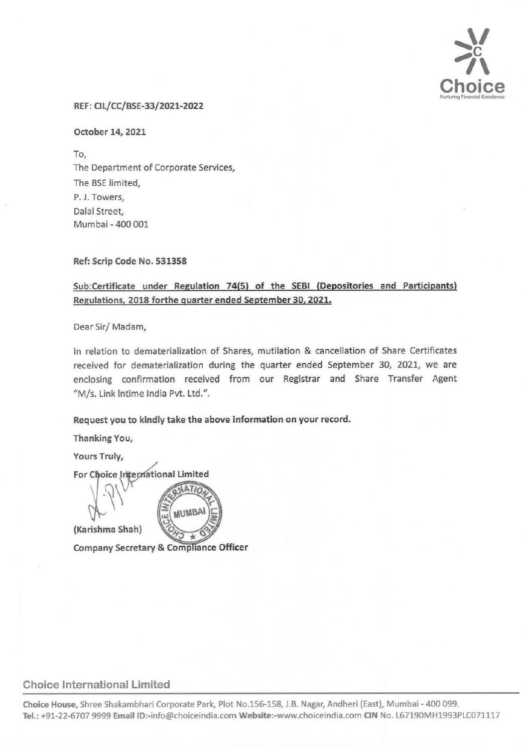

#### REF: CIL/CC/BSE-33/2021-2022

October 14, 2021

To, The Department of Corporate Services, The BSE limited, P. J. Towers, Dalal Street, Mumbai - 400 001

Ref: Scrip Code No. 531358

### Sub:Certificate under Regulation 74(5) of the SEBI (Depositories and Participants) Regulations, 2018 forthe quarter ended September 30, 2021.

Dear Sir/ Madam,

In relation to dematerialization of Shares, mutilation & cancellation of Share Certificates received for dematerialization during the quarter ended September 30, 2021, we are enclosing confirmation received from our Registrar and Share Transfer Agent "M/s. link lntime India Pvt. Ltd.".

#### Request you to kindly take the above information on your record.

Thanking You,

Yours Truly,

For Choice International Limited

(Karishma Shah)

**MUMBA** 

Company Secretary & Compliance Officer

## Choice International Limited

Choice House, Shree Shakambhari Corporate Park, Plot No.156-158, J.B. Nagar, Andheri (East), Mumbai -400 099. Tel.: +91-22-6707 9999 Email ID:-info@choiceindia.com Website:-www.choiceindia.com CIN No. L67190MH1993PLC071117